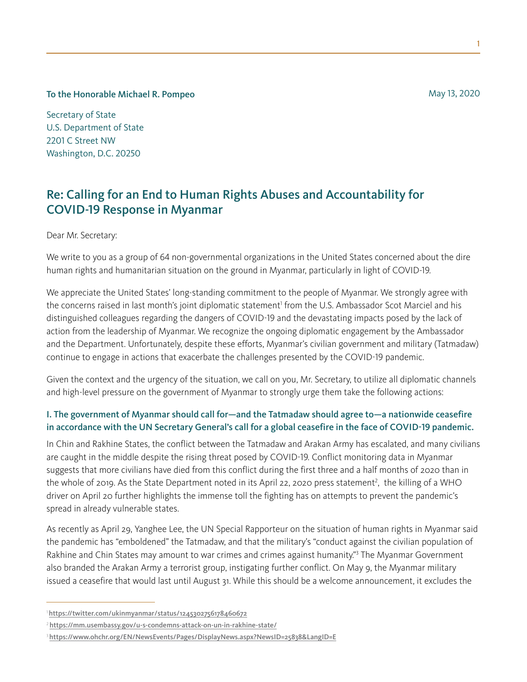To the Honorable Michael R. Pompeo

Secretary of State U.S. Department of State 2201 C Street NW Washington, D.C. 20250

# Re: Calling for an End to Human Rights Abuses and Accountability for COVID-19 Response in Myanmar

Dear Mr. Secretary:

We write to you as a group of 64 non-governmental organizations in the United States concerned about the dire human rights and humanitarian situation on the ground in Myanmar, particularly in light of COVID-19.

We appreciate the United States' long-standing commitment to the people of Myanmar. We strongly agree with the concerns raised in last month's joint diplomatic statement<sup>1</sup> from the U.S. Ambassador Scot Marciel and his distinguished colleagues regarding the dangers of COVID-19 and the devastating impacts posed by the lack of action from the leadership of Myanmar. We recognize the ongoing diplomatic engagement by the Ambassador and the Department. Unfortunately, despite these efforts, Myanmar's civilian government and military (Tatmadaw) continue to engage in actions that exacerbate the challenges presented by the COVID-19 pandemic.

Given the context and the urgency of the situation, we call on you, Mr. Secretary, to utilize all diplomatic channels and high-level pressure on the government of Myanmar to strongly urge them take the following actions:

## I. The government of Myanmar should call for—and the Tatmadaw should agree to—a nationwide ceasefire in accordance with the UN Secretary General's call for a global ceasefire in the face of COVID-19 pandemic.

In Chin and Rakhine States, the conflict between the Tatmadaw and Arakan Army has escalated, and many civilians are caught in the middle despite the rising threat posed by COVID-19. Conflict monitoring data in Myanmar suggests that more civilians have died from this conflict during the first three and a half months of 2020 than in the whole of 2019. As the State Department noted in its April 22, 2020 press statement<sup>2</sup>, the killing of a WHO driver on April 20 further highlights the immense toll the fighting has on attempts to prevent the pandemic's spread in already vulnerable states.

As recently as April 29, Yanghee Lee, the UN Special Rapporteur on the situation of human rights in Myanmar said the pandemic has "emboldened" the Tatmadaw, and that the military's "conduct against the civilian population of Rakhine and Chin States may amount to war crimes and crimes against humanity."<sup>3</sup> The Myanmar Government also branded the Arakan Army a terrorist group, instigating further conflict. On May 9, the Myanmar military issued a ceasefire that would last until August 31. While this should be a welcome announcement, it excludes the

May 13, 2020

<sup>1</sup> <https://twitter.com/ukinmyanmar/status/1245302756178460672>

<sup>&</sup>lt;sup>2</sup><https://mm.usembassy.gov/u-s-condemns-attack-on-un-in-rakhine-state/>

<sup>3</sup><https://www.ohchr.org/EN/NewsEvents/Pages/DisplayNews.aspx?NewsID=25838&LangID=E>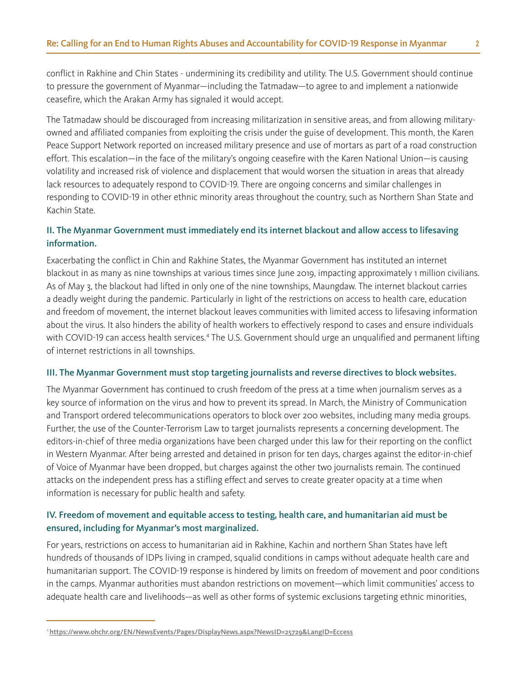conflict in Rakhine and Chin States - undermining its credibility and utility. The U.S. Government should continue to pressure the government of Myanmar—including the Tatmadaw—to agree to and implement a nationwide ceasefire, which the Arakan Army has signaled it would accept.

The Tatmadaw should be discouraged from increasing militarization in sensitive areas, and from allowing militaryowned and affiliated companies from exploiting the crisis under the guise of development. This month, the Karen Peace Support Network reported on increased military presence and use of mortars as part of a road construction effort. This escalation—in the face of the military's ongoing ceasefire with the Karen National Union—is causing volatility and increased risk of violence and displacement that would worsen the situation in areas that already lack resources to adequately respond to COVID-19. There are ongoing concerns and similar challenges in responding to COVID-19 in other ethnic minority areas throughout the country, such as Northern Shan State and Kachin State.

## II. The Myanmar Government must immediately end its internet blackout and allow access to lifesaving information.

Exacerbating the conflict in Chin and Rakhine States, the Myanmar Government has instituted an internet blackout in as many as nine townships at various times since June 2019, impacting approximately 1 million civilians. As of May 3, the blackout had lifted in only one of the nine townships, Maungdaw. The internet blackout carries a deadly weight during the pandemic. Particularly in light of the restrictions on access to health care, education and freedom of movement, the internet blackout leaves communities with limited access to lifesaving information about the virus. It also hinders the ability of health workers to effectively respond to cases and ensure individuals with COVID-19 can access health services.<sup>4</sup> The U.S. Government should urge an unqualified and permanent lifting of internet restrictions in all townships.

#### III. The Myanmar Government must stop targeting journalists and reverse directives to block websites.

The Myanmar Government has continued to crush freedom of the press at a time when journalism serves as a key source of information on the virus and how to prevent its spread. In March, the Ministry of Communication and Transport ordered telecommunications operators to block over 200 websites, including many media groups. Further, the use of the Counter-Terrorism Law to target journalists represents a concerning development. The editors-in-chief of three media organizations have been charged under this law for their reporting on the conflict in Western Myanmar. After being arrested and detained in prison for ten days, charges against the editor-in-chief of Voice of Myanmar have been dropped, but charges against the other two journalists remain. The continued attacks on the independent press has a stifling effect and serves to create greater opacity at a time when information is necessary for public health and safety.

## IV. Freedom of movement and equitable access to testing, health care, and humanitarian aid must be ensured, including for Myanmar's most marginalized.

For years, restrictions on access to humanitarian aid in Rakhine, Kachin and northern Shan States have left hundreds of thousands of IDPs living in cramped, squalid conditions in camps without adequate health care and humanitarian support. The COVID-19 response is hindered by limits on freedom of movement and poor conditions in the camps. Myanmar authorities must abandon restrictions on movement—which limit communities' access to adequate health care and livelihoods—as well as other forms of systemic exclusions targeting ethnic minorities,

<sup>4</sup><https://www.ohchr.org/EN/NewsEvents/Pages/DisplayNews.aspx?NewsID=25729&LangID=Eccess>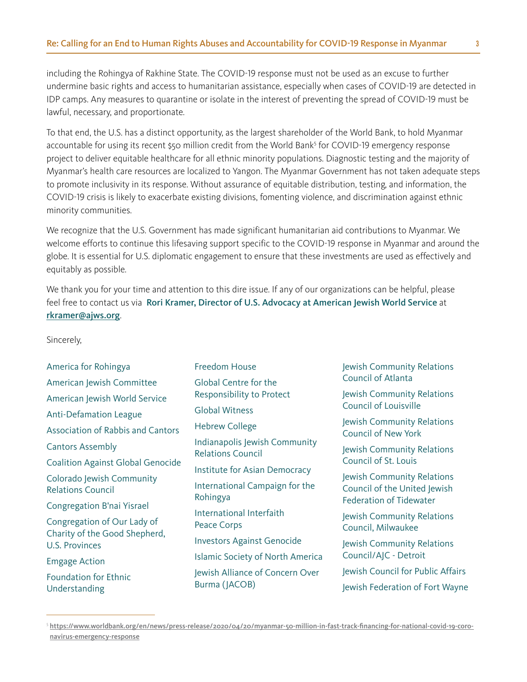including the Rohingya of Rakhine State. The COVID-19 response must not be used as an excuse to further undermine basic rights and access to humanitarian assistance, especially when cases of COVID-19 are detected in IDP camps. Any measures to quarantine or isolate in the interest of preventing the spread of COVID-19 must be lawful, necessary, and proportionate.

To that end, the U.S. has a distinct opportunity, as the largest shareholder of the World Bank, to hold Myanmar accountable for using its recent \$50 million credit from the World Bank<sup>5</sup> for COVID-19 emergency response project to deliver equitable healthcare for all ethnic minority populations. Diagnostic testing and the majority of Myanmar's health care resources are localized to Yangon. The Myanmar Government has not taken adequate steps to promote inclusivity in its response. Without assurance of equitable distribution, testing, and information, the COVID-19 crisis is likely to exacerbate existing divisions, fomenting violence, and discrimination against ethnic minority communities.

We recognize that the U.S. Government has made significant humanitarian aid contributions to Myanmar. We welcome efforts to continue this lifesaving support specific to the COVID-19 response in Myanmar and around the globe. It is essential for U.S. diplomatic engagement to ensure that these investments are used as effectively and equitably as possible.

We thank you for your time and attention to this dire issue. If any of our organizations can be helpful, please feel free to contact us via Rori Kramer, Director of U.S. Advocacy at American Jewish World Service at [rkramer@ajws.org](mailto:rkramer%40ajws.org?subject=).

Sincerely,

| America for Rohingya                                   | <b>Freedom House</b>                                                                                                                     | Jewish Community Relations<br><b>Council of Atlanta</b>                                                                |
|--------------------------------------------------------|------------------------------------------------------------------------------------------------------------------------------------------|------------------------------------------------------------------------------------------------------------------------|
| American Jewish Committee                              | <b>Global Centre for the</b>                                                                                                             |                                                                                                                        |
| American Jewish World Service                          | Responsibility to Protect<br><b>Global Witness</b><br><b>Hebrew College</b><br>Indianapolis Jewish Community<br><b>Relations Council</b> | Jewish Community Relations<br><b>Council of Louisville</b><br>Jewish Community Relations<br><b>Council of New York</b> |
| <b>Anti-Defamation League</b>                          |                                                                                                                                          |                                                                                                                        |
| <b>Association of Rabbis and Cantors</b>               |                                                                                                                                          |                                                                                                                        |
| <b>Cantors Assembly</b>                                |                                                                                                                                          | Jewish Community Relations<br>Council of St. Louis                                                                     |
| <b>Coalition Against Global Genocide</b>               |                                                                                                                                          |                                                                                                                        |
| Colorado Jewish Community                              | Institute for Asian Democracy                                                                                                            | Jewish Community Relations<br>Council of the United Jewish<br><b>Federation of Tidewater</b>                           |
| <b>Relations Council</b>                               | International Campaign for the<br>Rohingya                                                                                               |                                                                                                                        |
| Congregation B'nai Yisrael                             |                                                                                                                                          |                                                                                                                        |
| Congregation of Our Lady of                            | International Interfaith<br>Peace Corps                                                                                                  | Jewish Community Relations<br>Council, Milwaukee                                                                       |
| Charity of the Good Shepherd,<br><b>U.S. Provinces</b> | <b>Investors Against Genocide</b>                                                                                                        | Jewish Community Relations                                                                                             |
| <b>Emgage Action</b>                                   | <b>Islamic Society of North America</b>                                                                                                  | Council/AJC - Detroit                                                                                                  |
| <b>Foundation for Ethnic</b>                           | Jewish Alliance of Concern Over                                                                                                          | Jewish Council for Public Affairs                                                                                      |
| Understanding                                          | Burma (JACOB)                                                                                                                            | Jewish Federation of Fort Wayne                                                                                        |

<sup>5</sup> [https://www.worldbank.org/en/news/press-release/2020/04/20/myanmar-50-million-in-fast-track-financing-for-national-covid-19-coro](https://www.worldbank.org/en/news/press-release/2020/04/20/myanmar-50-million-in-fast-track-financing-for-national-covid-19-coronavirus-emergency-response)[navirus-emergency-response](https://www.worldbank.org/en/news/press-release/2020/04/20/myanmar-50-million-in-fast-track-financing-for-national-covid-19-coronavirus-emergency-response)